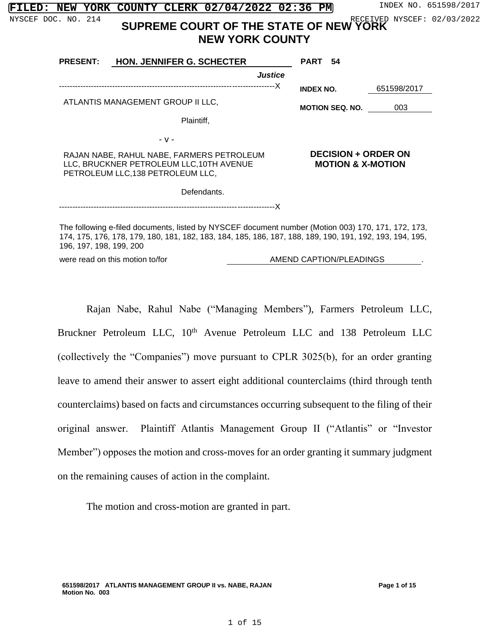| π |  | INDEX NO. 651598/201 |
|---|--|----------------------|
|   |  |                      |

|  |  | FILED: NEW YORK COUNTY CLERK 02/04/2022 02:36 PM |  | INDEX NO. 651598/2017 |
|--|--|--------------------------------------------------|--|-----------------------|
|  |  |                                                  |  |                       |

# NYSCEF DOC. NO. 214 SUPREME COURT OF THE STATE OF NEW YORK **NEW YORK COUNTY**

| <b>PRESENT:</b>                                                                                                            | <b>HON. JENNIFER G. SCHECTER</b>  | PART 54                                                    |             |  |
|----------------------------------------------------------------------------------------------------------------------------|-----------------------------------|------------------------------------------------------------|-------------|--|
|                                                                                                                            | Justice                           |                                                            |             |  |
|                                                                                                                            |                                   | <b>INDEX NO.</b>                                           | 651598/2017 |  |
|                                                                                                                            | ATLANTIS MANAGEMENT GROUP II LLC, | <b>MOTION SEQ. NO.</b>                                     | 003         |  |
|                                                                                                                            | Plaintiff,                        |                                                            |             |  |
|                                                                                                                            | $-V -$                            |                                                            |             |  |
| RAJAN NABE, RAHUL NABE, FARMERS PETROLEUM<br>LLC, BRUCKNER PETROLEUM LLC, 10TH AVENUE<br>PETROLEUM LLC, 138 PETROLEUM LLC, |                                   | <b>DECISION + ORDER ON</b><br><b>MOTION &amp; X-MOTION</b> |             |  |
|                                                                                                                            | Defendants.                       |                                                            |             |  |
|                                                                                                                            |                                   |                                                            |             |  |

The following e-filed documents, listed by NYSCEF document number (Motion 003) 170, 171, 172, 173, 174, 175, 176, 178, 179, 180, 181, 182, 183, 184, 185, 186, 187, 188, 189, 190, 191, 192, 193, 194, 195, 196, 197, 198, 199, 200

were read on this motion to/for **AMEND CAPTION/PLEADINGS** 

Rajan Nabe, Rahul Nabe ("Managing Members"), Farmers Petroleum LLC, Bruckner Petroleum LLC, 10<sup>th</sup> Avenue Petroleum LLC and 138 Petroleum LLC (collectively the "Companies") move pursuant to CPLR 3025(b), for an order granting leave to amend their answer to assert eight additional counterclaims (third through tenth counterclaims) based on facts and circumstances occurring subsequent to the filing of their original answer. Plaintiff Atlantis Management Group II ("Atlantis" or "Investor Member") opposes the motion and cross-moves for an order granting it summary judgment on the remaining causes of action in the complaint.

The motion and cross-motion are granted in part.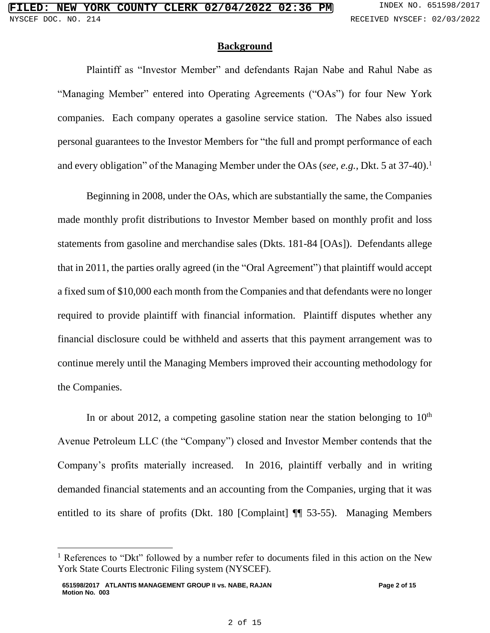#### **Background**

Plaintiff as "Investor Member" and defendants Rajan Nabe and Rahul Nabe as "Managing Member" entered into Operating Agreements ("OAs") for four New York companies. Each company operates a gasoline service station. The Nabes also issued personal guarantees to the Investor Members for "the full and prompt performance of each and every obligation" of the Managing Member under the OAs (*see, e.g., Dkt.* 5 at 37-40).<sup>1</sup>

Beginning in 2008, under the OAs, which are substantially the same, the Companies made monthly profit distributions to Investor Member based on monthly profit and loss statements from gasoline and merchandise sales (Dkts. 181-84 [OAs]). Defendants allege that in 2011, the parties orally agreed (in the "Oral Agreement") that plaintiff would accept a fixed sum of \$10,000 each month from the Companies and that defendants were no longer required to provide plaintiff with financial information. Plaintiff disputes whether any financial disclosure could be withheld and asserts that this payment arrangement was to continue merely until the Managing Members improved their accounting methodology for the Companies.

In or about 2012, a competing gasoline station near the station belonging to  $10<sup>th</sup>$ Avenue Petroleum LLC (the "Company") closed and Investor Member contends that the Company's profits materially increased. In 2016, plaintiff verbally and in writing demanded financial statements and an accounting from the Companies, urging that it was entitled to its share of profits (Dkt. 180 [Complaint] ¶¶ 53-55). Managing Members

<sup>&</sup>lt;sup>1</sup> References to "Dkt" followed by a number refer to documents filed in this action on the New York State Courts Electronic Filing system (NYSCEF).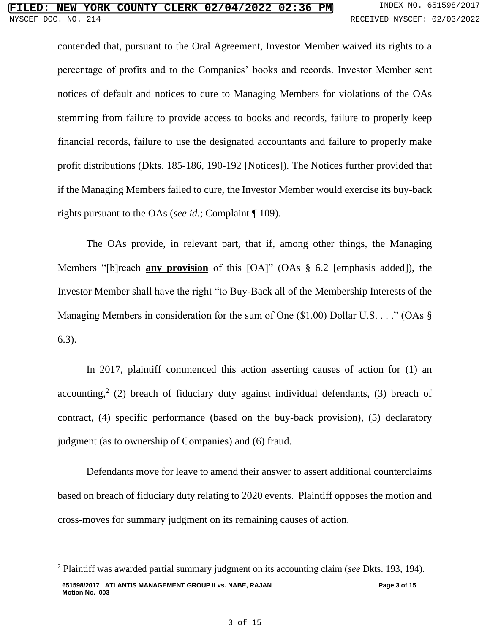contended that, pursuant to the Oral Agreement, Investor Member waived its rights to a percentage of profits and to the Companies' books and records. Investor Member sent notices of default and notices to cure to Managing Members for violations of the OAs stemming from failure to provide access to books and records, failure to properly keep financial records, failure to use the designated accountants and failure to properly make profit distributions (Dkts. 185-186, 190-192 [Notices]). The Notices further provided that if the Managing Members failed to cure, the Investor Member would exercise its buy-back rights pursuant to the OAs (*see id.*; Complaint ¶ 109).

The OAs provide, in relevant part, that if, among other things, the Managing Members "[b]reach **any provision** of this [OA]" (OAs § 6.2 [emphasis added]), the Investor Member shall have the right "to Buy-Back all of the Membership Interests of the Managing Members in consideration for the sum of One (\$1.00) Dollar U.S. . . ." (OAs § 6.3).

In 2017, plaintiff commenced this action asserting causes of action for (1) an accounting, 2 (2) breach of fiduciary duty against individual defendants, (3) breach of contract, (4) specific performance (based on the buy-back provision), (5) declaratory judgment (as to ownership of Companies) and (6) fraud.

Defendants move for leave to amend their answer to assert additional counterclaims based on breach of fiduciary duty relating to 2020 events. Plaintiff opposes the motion and cross-moves for summary judgment on its remaining causes of action.

**<sup>651598/2017</sup> ATLANTIS MANAGEMENT GROUP II vs. NABE, RAJAN Motion No. 003 Page 3 of 15** <sup>2</sup> Plaintiff was awarded partial summary judgment on its accounting claim (*see* Dkts. 193, 194).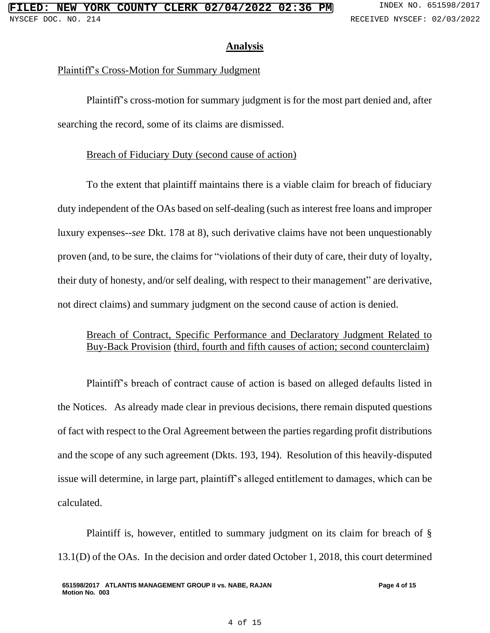# **Analysis**

## Plaintiff's Cross-Motion for Summary Judgment

Plaintiff's cross-motion for summary judgment is for the most part denied and, after searching the record, some of its claims are dismissed.

# Breach of Fiduciary Duty (second cause of action)

To the extent that plaintiff maintains there is a viable claim for breach of fiduciary duty independent of the OAs based on self-dealing (such as interest free loans and improper luxury expenses--*see* Dkt. 178 at 8), such derivative claims have not been unquestionably proven (and, to be sure, the claims for "violations of their duty of care, their duty of loyalty, their duty of honesty, and/or self dealing, with respect to their management" are derivative, not direct claims) and summary judgment on the second cause of action is denied.

# Breach of Contract, Specific Performance and Declaratory Judgment Related to Buy-Back Provision (third, fourth and fifth causes of action; second counterclaim)

Plaintiff's breach of contract cause of action is based on alleged defaults listed in the Notices. As already made clear in previous decisions, there remain disputed questions of fact with respect to the Oral Agreement between the parties regarding profit distributions and the scope of any such agreement (Dkts. 193, 194). Resolution of this heavily-disputed issue will determine, in large part, plaintiff's alleged entitlement to damages, which can be calculated.

Plaintiff is, however, entitled to summary judgment on its claim for breach of § 13.1(D) of the OAs. In the decision and order dated October 1, 2018, this court determined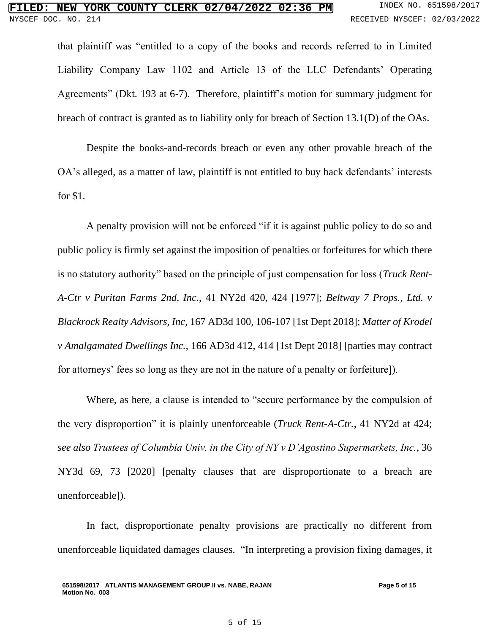that plaintiff was "entitled to a copy of the books and records referred to in Limited Liability Company Law 1102 and Article 13 of the LLC Defendants' Operating Agreements" (Dkt. 193 at 6-7). Therefore, plaintiff's motion for summary judgment for breach of contract is granted as to liability only for breach of Section 13.1(D) of the OAs.

Despite the books-and-records breach or even any other provable breach of the OA's alleged, as a matter of law, plaintiff is not entitled to buy back defendants' interests for \$1.

A penalty provision will not be enforced "if it is against public policy to do so and public policy is firmly set against the imposition of penalties or forfeitures for which there is no statutory authority" based on the principle of just compensation for loss (*Truck Rent-A-Ctr v Puritan Farms 2nd, Inc.*, 41 NY2d 420, 424 [1977]; *Beltway 7 Props., Ltd. v Blackrock Realty Advisors, Inc,* 167 AD3d 100, 106-107 [1st Dept 2018]; *Matter of Krodel v Amalgamated Dwellings Inc.*, 166 AD3d 412, 414 [1st Dept 2018] [parties may contract for attorneys' fees so long as they are not in the nature of a penalty or forfeiture]).

Where, as here, a clause is intended to "secure performance by the compulsion of the very disproportion" it is plainly unenforceable (*Truck Rent-A-Ctr.*, 41 NY2d at 424; *see also Trustees of Columbia Univ. in the City of NY v D'Agostino Supermarkets, Inc.*, 36 NY3d 69, 73 [2020] [penalty clauses that are disproportionate to a breach are unenforceable]).

In fact, disproportionate penalty provisions are practically no different from unenforceable liquidated damages clauses. "In interpreting a provision fixing damages, it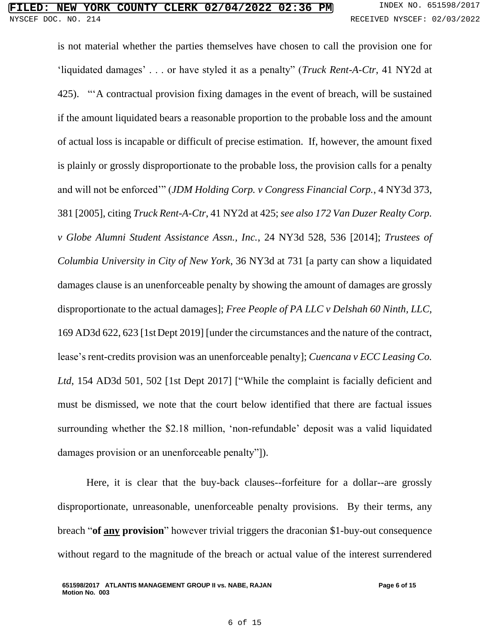is not material whether the parties themselves have chosen to call the provision one for 'liquidated damages' . . . or have styled it as a penalty" (*Truck Rent-A-Ctr*, 41 NY2d at 425). "'A contractual provision fixing damages in the event of breach, will be sustained if the amount liquidated bears a reasonable proportion to the probable loss and the amount of actual loss is incapable or difficult of precise estimation. If, however, the amount fixed is plainly or grossly disproportionate to the probable loss, the provision calls for a penalty and will not be enforced'" (*JDM Holding Corp. v Congress Financial Corp.*, 4 NY3d 373, 381 [2005], citing *Truck Rent-A-Ctr*, 41 NY2d at 425; *see also 172 Van Duzer Realty Corp. v Globe Alumni Student Assistance Assn., Inc.*, 24 NY3d 528, 536 [2014]; *Trustees of Columbia University in City of New York*, 36 NY3d at 731 [a party can show a liquidated damages clause is an unenforceable penalty by showing the amount of damages are grossly disproportionate to the actual damages]; *Free People of PA LLC v Delshah 60 Ninth, LLC,*  169 AD3d 622, 623 [1stDept 2019] [under the circumstances and the nature of the contract, lease's rent-credits provision was an unenforceable penalty]; *Cuencana v ECC Leasing Co.*  Ltd, 154 AD3d 501, 502 [1st Dept 2017] ["While the complaint is facially deficient and must be dismissed, we note that the court below identified that there are factual issues surrounding whether the \$2.18 million, 'non-refundable' deposit was a valid liquidated damages provision or an unenforceable penalty"]).

Here, it is clear that the buy-back clauses--forfeiture for a dollar--are grossly disproportionate, unreasonable, unenforceable penalty provisions. By their terms, any breach "**of any provision**" however trivial triggers the draconian \$1-buy-out consequence without regard to the magnitude of the breach or actual value of the interest surrendered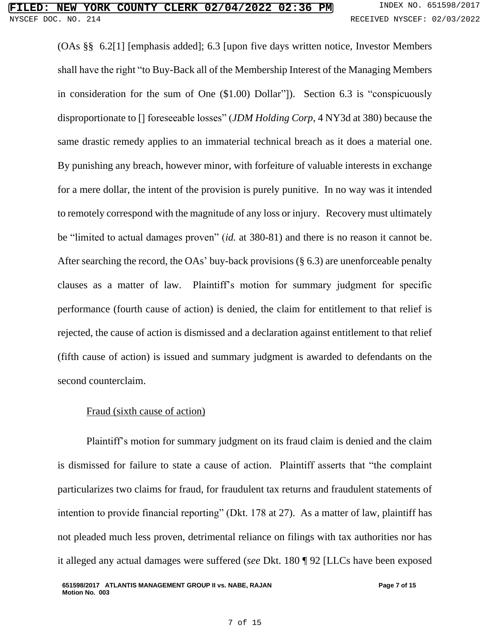(OAs §§ 6.2[1] [emphasis added]; 6.3 [upon five days written notice, Investor Members shall have the right "to Buy-Back all of the Membership Interest of the Managing Members in consideration for the sum of One (\$1.00) Dollar"]). Section 6.3 is "conspicuously disproportionate to [] foreseeable losses" (*JDM Holding Corp*, 4 NY3d at 380) because the same drastic remedy applies to an immaterial technical breach as it does a material one. By punishing any breach, however minor, with forfeiture of valuable interests in exchange for a mere dollar, the intent of the provision is purely punitive. In no way was it intended to remotely correspond with the magnitude of any loss or injury. Recovery must ultimately be "limited to actual damages proven" (*id.* at 380-81) and there is no reason it cannot be. After searching the record, the OAs' buy-back provisions (§ 6.3) are unenforceable penalty clauses as a matter of law. Plaintiff's motion for summary judgment for specific performance (fourth cause of action) is denied, the claim for entitlement to that relief is rejected, the cause of action is dismissed and a declaration against entitlement to that relief (fifth cause of action) is issued and summary judgment is awarded to defendants on the second counterclaim.

# Fraud (sixth cause of action)

Plaintiff's motion for summary judgment on its fraud claim is denied and the claim is dismissed for failure to state a cause of action. Plaintiff asserts that "the complaint particularizes two claims for fraud, for fraudulent tax returns and fraudulent statements of intention to provide financial reporting" (Dkt. 178 at 27). As a matter of law, plaintiff has not pleaded much less proven, detrimental reliance on filings with tax authorities nor has it alleged any actual damages were suffered (*see* Dkt. 180 ¶ 92 [LLCs have been exposed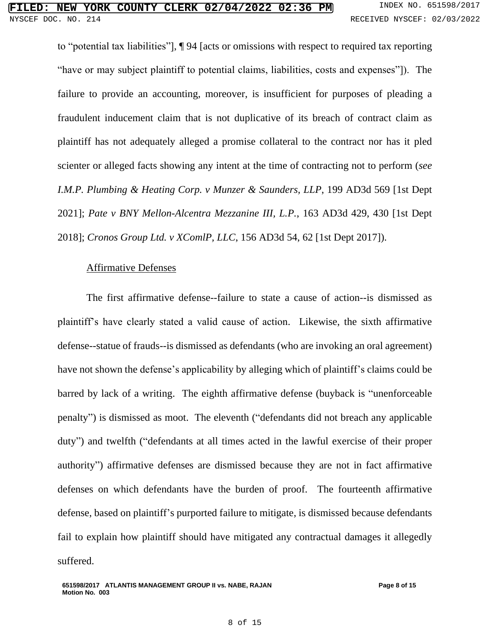to "potential tax liabilities"], ¶ 94 [acts or omissions with respect to required tax reporting "have or may subject plaintiff to potential claims, liabilities, costs and expenses"]). The failure to provide an accounting, moreover, is insufficient for purposes of pleading a fraudulent inducement claim that is not duplicative of its breach of contract claim as plaintiff has not adequately alleged a promise collateral to the contract nor has it pled scienter or alleged facts showing any intent at the time of contracting not to perform (*see I.M.P. Plumbing & Heating Corp. v Munzer & Saunders, LLP*, 199 AD3d 569 [1st Dept 2021]; *Pate v BNY Mellon-Alcentra Mezzanine III, L.P.*, 163 AD3d 429, 430 [1st Dept 2018]; *Cronos Group Ltd. v XComlP, LLC*, 156 AD3d 54, 62 [1st Dept 2017]).

## Affirmative Defenses

The first affirmative defense--failure to state a cause of action--is dismissed as plaintiff's have clearly stated a valid cause of action. Likewise, the sixth affirmative defense--statue of frauds--is dismissed as defendants (who are invoking an oral agreement) have not shown the defense's applicability by alleging which of plaintiff's claims could be barred by lack of a writing. The eighth affirmative defense (buyback is "unenforceable penalty") is dismissed as moot. The eleventh ("defendants did not breach any applicable duty") and twelfth ("defendants at all times acted in the lawful exercise of their proper authority") affirmative defenses are dismissed because they are not in fact affirmative defenses on which defendants have the burden of proof. The fourteenth affirmative defense, based on plaintiff's purported failure to mitigate, is dismissed because defendants fail to explain how plaintiff should have mitigated any contractual damages it allegedly suffered.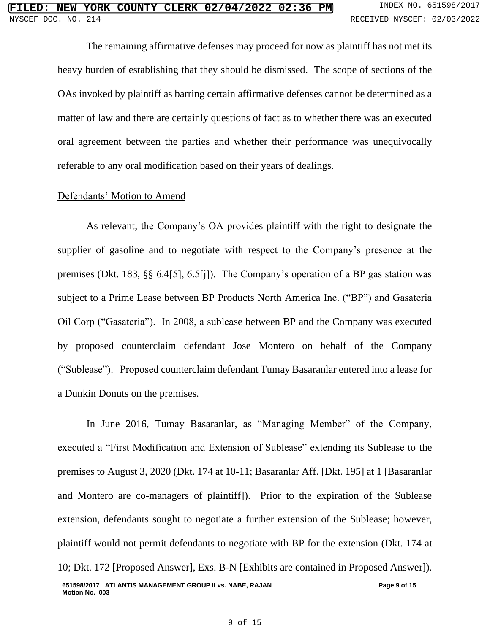The remaining affirmative defenses may proceed for now as plaintiff has not met its heavy burden of establishing that they should be dismissed. The scope of sections of the OAs invoked by plaintiff as barring certain affirmative defenses cannot be determined as a matter of law and there are certainly questions of fact as to whether there was an executed oral agreement between the parties and whether their performance was unequivocally referable to any oral modification based on their years of dealings.

## Defendants' Motion to Amend

As relevant, the Company's OA provides plaintiff with the right to designate the supplier of gasoline and to negotiate with respect to the Company's presence at the premises (Dkt. 183, §§ 6.4[5], 6.5[j]). The Company's operation of a BP gas station was subject to a Prime Lease between BP Products North America Inc. ("BP") and Gasateria Oil Corp ("Gasateria"). In 2008, a sublease between BP and the Company was executed by proposed counterclaim defendant Jose Montero on behalf of the Company ("Sublease"). Proposed counterclaim defendant Tumay Basaranlar entered into a lease for a Dunkin Donuts on the premises.

**651598/2017 ATLANTIS MANAGEMENT GROUP II vs. NABE, RAJAN Motion No. 003 Page 9 of 15** In June 2016, Tumay Basaranlar, as "Managing Member" of the Company, executed a "First Modification and Extension of Sublease" extending its Sublease to the premises to August 3, 2020 (Dkt. 174 at 10-11; Basaranlar Aff. [Dkt. 195] at 1 [Basaranlar and Montero are co-managers of plaintiff]). Prior to the expiration of the Sublease extension, defendants sought to negotiate a further extension of the Sublease; however, plaintiff would not permit defendants to negotiate with BP for the extension (Dkt. 174 at 10; Dkt. 172 [Proposed Answer], Exs. B-N [Exhibits are contained in Proposed Answer]).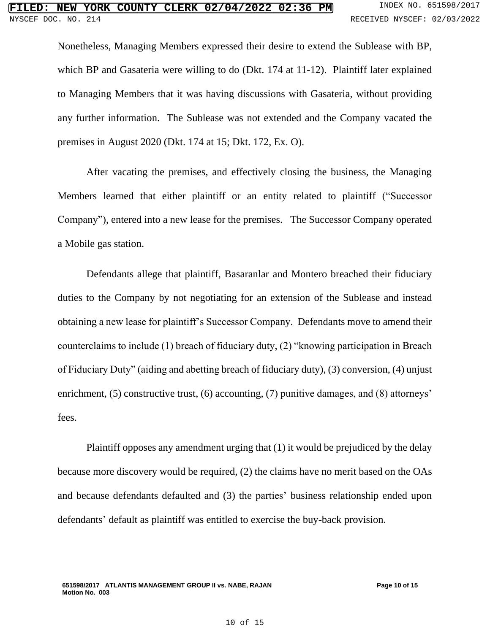Nonetheless, Managing Members expressed their desire to extend the Sublease with BP, which BP and Gasateria were willing to do (Dkt. 174 at 11-12). Plaintiff later explained to Managing Members that it was having discussions with Gasateria, without providing any further information. The Sublease was not extended and the Company vacated the premises in August 2020 (Dkt. 174 at 15; Dkt. 172, Ex. O).

After vacating the premises, and effectively closing the business, the Managing Members learned that either plaintiff or an entity related to plaintiff ("Successor Company"), entered into a new lease for the premises. The Successor Company operated a Mobile gas station.

Defendants allege that plaintiff, Basaranlar and Montero breached their fiduciary duties to the Company by not negotiating for an extension of the Sublease and instead obtaining a new lease for plaintiff's Successor Company. Defendants move to amend their counterclaims to include (1) breach of fiduciary duty, (2) "knowing participation in Breach of Fiduciary Duty" (aiding and abetting breach of fiduciary duty), (3) conversion, (4) unjust enrichment, (5) constructive trust, (6) accounting, (7) punitive damages, and (8) attorneys' fees.

Plaintiff opposes any amendment urging that (1) it would be prejudiced by the delay because more discovery would be required, (2) the claims have no merit based on the OAs and because defendants defaulted and (3) the parties' business relationship ended upon defendants' default as plaintiff was entitled to exercise the buy-back provision.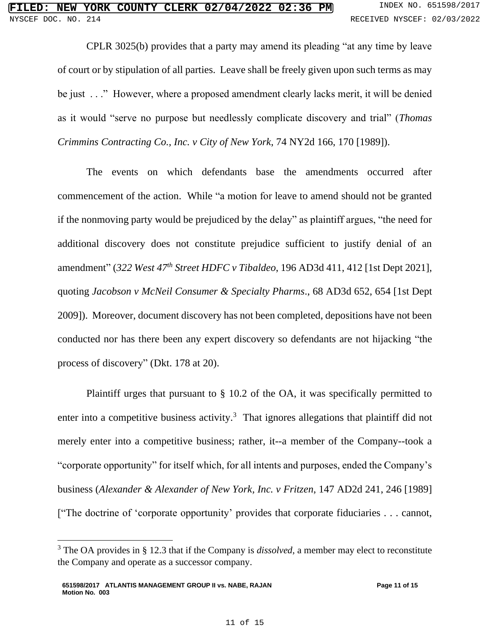CPLR 3025(b) provides that a party may amend its pleading "at any time by leave of court or by stipulation of all parties. Leave shall be freely given upon such terms as may be just . . ." However, where a proposed amendment clearly lacks merit, it will be denied as it would "serve no purpose but needlessly complicate discovery and trial" (*Thomas Crimmins Contracting Co., Inc. v City of New York*, 74 NY2d 166, 170 [1989]).

The events on which defendants base the amendments occurred after commencement of the action. While "a motion for leave to amend should not be granted if the nonmoving party would be prejudiced by the delay" as plaintiff argues, "the need for additional discovery does not constitute prejudice sufficient to justify denial of an amendment" (*322 West 47th Street HDFC v Tibaldeo*, 196 AD3d 411, 412 [1st Dept 2021], quoting *Jacobson v McNeil Consumer & Specialty Pharms*., 68 AD3d 652, 654 [1st Dept 2009]). Moreover, document discovery has not been completed, depositions have not been conducted nor has there been any expert discovery so defendants are not hijacking "the process of discovery" (Dkt. 178 at 20).

Plaintiff urges that pursuant to § 10.2 of the OA, it was specifically permitted to enter into a competitive business activity.<sup>3</sup> That ignores allegations that plaintiff did not merely enter into a competitive business; rather, it--a member of the Company--took a "corporate opportunity" for itself which, for all intents and purposes, ended the Company's business (*Alexander & Alexander of New York, Inc. v Fritzen*, 147 AD2d 241, 246 [1989] ["The doctrine of 'corporate opportunity' provides that corporate fiduciaries . . . cannot,

<sup>3</sup> The OA provides in § 12.3 that if the Company is *dissolved*, a member may elect to reconstitute the Company and operate as a successor company.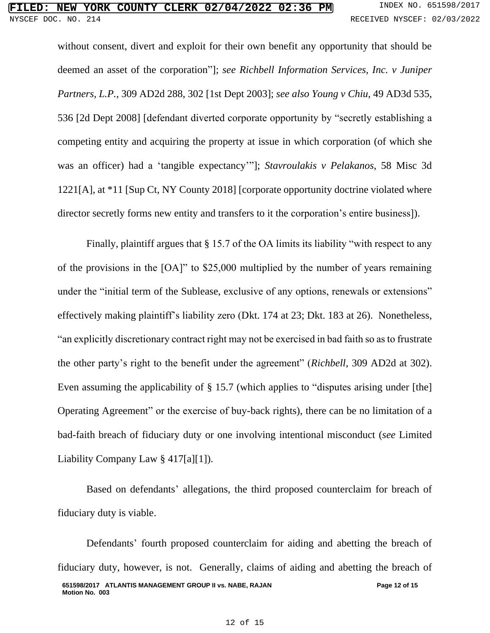without consent, divert and exploit for their own benefit any opportunity that should be deemed an asset of the corporation"]; *see Richbell Information Services, Inc. v Juniper Partners, L.P.*, 309 AD2d 288, 302 [1st Dept 2003]; *see also Young v Chiu*, 49 AD3d 535, 536 [2d Dept 2008] [defendant diverted corporate opportunity by "secretly establishing a competing entity and acquiring the property at issue in which corporation (of which she was an officer) had a 'tangible expectancy'"]; *Stavroulakis v Pelakanos*, 58 Misc 3d 1221[A], at \*11 [Sup Ct, NY County 2018] [corporate opportunity doctrine violated where director secretly forms new entity and transfers to it the corporation's entire business]).

Finally, plaintiff argues that § 15.7 of the OA limits its liability "with respect to any of the provisions in the [OA]" to \$25,000 multiplied by the number of years remaining under the "initial term of the Sublease, exclusive of any options, renewals or extensions" effectively making plaintiff's liability zero (Dkt. 174 at 23; Dkt. 183 at 26). Nonetheless, "an explicitly discretionary contract right may not be exercised in bad faith so as to frustrate the other party's right to the benefit under the agreement" (*Richbell,* 309 AD2d at 302). Even assuming the applicability of § 15.7 (which applies to "disputes arising under [the] Operating Agreement" or the exercise of buy-back rights), there can be no limitation of a bad-faith breach of fiduciary duty or one involving intentional misconduct (*see* Limited Liability Company Law § 417[a][1]).

Based on defendants' allegations, the third proposed counterclaim for breach of fiduciary duty is viable.

**651598/2017 ATLANTIS MANAGEMENT GROUP II vs. NABE, RAJAN Motion No. 003 Page 12 of 15** Defendants' fourth proposed counterclaim for aiding and abetting the breach of fiduciary duty, however, is not. Generally, claims of aiding and abetting the breach of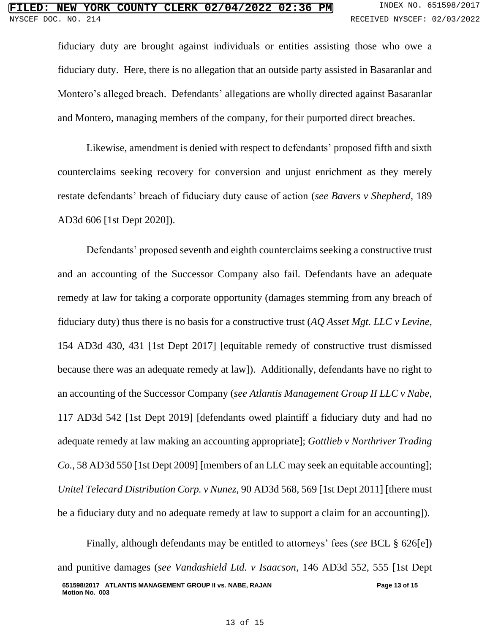fiduciary duty are brought against individuals or entities assisting those who owe a fiduciary duty. Here, there is no allegation that an outside party assisted in Basaranlar and Montero's alleged breach. Defendants' allegations are wholly directed against Basaranlar and Montero, managing members of the company, for their purported direct breaches.

Likewise, amendment is denied with respect to defendants' proposed fifth and sixth counterclaims seeking recovery for conversion and unjust enrichment as they merely restate defendants' breach of fiduciary duty cause of action (*see Bavers v Shepherd*, 189 AD3d 606 [1st Dept 2020]).

Defendants' proposed seventh and eighth counterclaims seeking a constructive trust and an accounting of the Successor Company also fail. Defendants have an adequate remedy at law for taking a corporate opportunity (damages stemming from any breach of fiduciary duty) thus there is no basis for a constructive trust (*AQ Asset Mgt. LLC v Levine*, 154 AD3d 430, 431 [1st Dept 2017] [equitable remedy of constructive trust dismissed because there was an adequate remedy at law]). Additionally, defendants have no right to an accounting of the Successor Company (*see Atlantis Management Group II LLC v Nabe*, 117 AD3d 542 [1st Dept 2019] [defendants owed plaintiff a fiduciary duty and had no adequate remedy at law making an accounting appropriate]; *Gottlieb v Northriver Trading Co.*, 58 AD3d 550 [1st Dept 2009] [members of an LLC may seek an equitable accounting]; *Unitel Telecard Distribution Corp. v Nunez*, 90 AD3d 568, 569 [1st Dept 2011] [there must be a fiduciary duty and no adequate remedy at law to support a claim for an accounting]).

**651598/2017 ATLANTIS MANAGEMENT GROUP II vs. NABE, RAJAN Motion No. 003 Page 13 of 15** Finally, although defendants may be entitled to attorneys' fees (*see* BCL § 626[e]) and punitive damages (*see Vandashield Ltd. v Isaacson*, 146 AD3d 552, 555 [1st Dept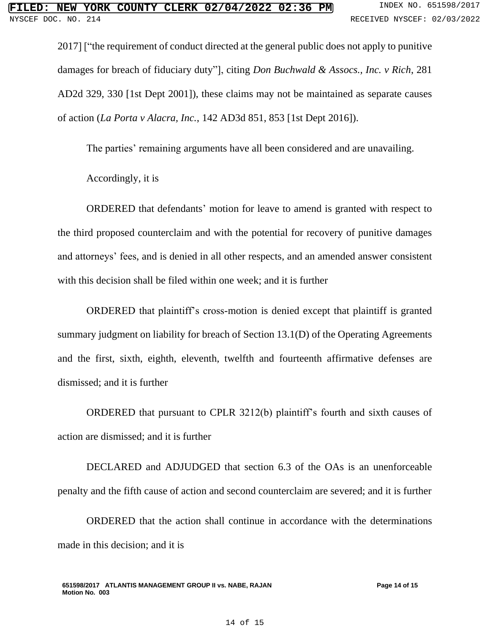2017] ["the requirement of conduct directed at the general public does not apply to punitive damages for breach of fiduciary duty"], citing *Don Buchwald & Assocs., Inc. v Rich*, 281 AD2d 329, 330 [1st Dept 2001]), these claims may not be maintained as separate causes of action (*La Porta v Alacra, Inc.*, 142 AD3d 851, 853 [1st Dept 2016]).

The parties' remaining arguments have all been considered and are unavailing.

Accordingly, it is

ORDERED that defendants' motion for leave to amend is granted with respect to the third proposed counterclaim and with the potential for recovery of punitive damages and attorneys' fees, and is denied in all other respects, and an amended answer consistent with this decision shall be filed within one week; and it is further

ORDERED that plaintiff's cross-motion is denied except that plaintiff is granted summary judgment on liability for breach of Section 13.1(D) of the Operating Agreements and the first, sixth, eighth, eleventh, twelfth and fourteenth affirmative defenses are dismissed; and it is further

ORDERED that pursuant to CPLR 3212(b) plaintiff's fourth and sixth causes of action are dismissed; and it is further

DECLARED and ADJUDGED that section 6.3 of the OAs is an unenforceable penalty and the fifth cause of action and second counterclaim are severed; and it is further

ORDERED that the action shall continue in accordance with the determinations made in this decision; and it is